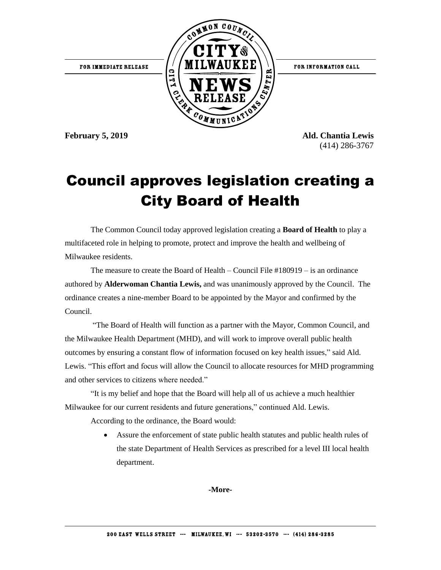

**February 5, 2019 Ald. Chantia Lewis** (414) 286-3767

## Council approves legislation creating a City Board of Health

The Common Council today approved legislation creating a **Board of Health** to play a multifaceted role in helping to promote, protect and improve the health and wellbeing of Milwaukee residents.

The measure to create the Board of Health – Council File #180919 – is an ordinance authored by **Alderwoman Chantia Lewis,** and was unanimously approved by the Council.The ordinance creates a nine-member Board to be appointed by the Mayor and confirmed by the Council.

"The Board of Health will function as a partner with the Mayor, Common Council, and the Milwaukee Health Department (MHD), and will work to improve overall public health outcomes by ensuring a constant flow of information focused on key health issues," said Ald. Lewis. "This effort and focus will allow the Council to allocate resources for MHD programming and other services to citizens where needed."

"It is my belief and hope that the Board will help all of us achieve a much healthier Milwaukee for our current residents and future generations," continued Ald. Lewis.

According to the ordinance, the Board would:

 Assure the enforcement of state public health statutes and public health rules of the state Department of Health Services as prescribed for a level III local health department.

**-More-**